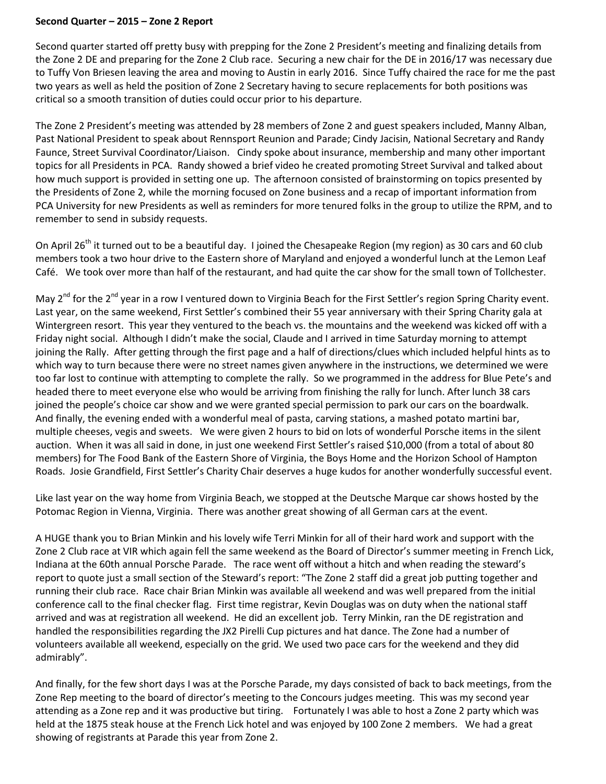## **Second Quarter – 2015 – Zone 2 Report**

Second quarter started off pretty busy with prepping for the Zone 2 President's meeting and finalizing details from the Zone 2 DE and preparing for the Zone 2 Club race. Securing a new chair for the DE in 2016/17 was necessary due to Tuffy Von Briesen leaving the area and moving to Austin in early 2016. Since Tuffy chaired the race for me the past two years as well as held the position of Zone 2 Secretary having to secure replacements for both positions was critical so a smooth transition of duties could occur prior to his departure.

The Zone 2 President's meeting was attended by 28 members of Zone 2 and guest speakers included, Manny Alban, Past National President to speak about Rennsport Reunion and Parade; Cindy Jacisin, National Secretary and Randy Faunce, Street Survival Coordinator/Liaison. Cindy spoke about insurance, membership and many other important topics for all Presidents in PCA. Randy showed a brief video he created promoting Street Survival and talked about how much support is provided in setting one up. The afternoon consisted of brainstorming on topics presented by the Presidents of Zone 2, while the morning focused on Zone business and a recap of important information from PCA University for new Presidents as well as reminders for more tenured folks in the group to utilize the RPM, and to remember to send in subsidy requests.

On April 26<sup>th</sup> it turned out to be a beautiful day. I joined the Chesapeake Region (my region) as 30 cars and 60 club members took a two hour drive to the Eastern shore of Maryland and enjoyed a wonderful lunch at the Lemon Leaf Café. We took over more than half of the restaurant, and had quite the car show for the small town of Tollchester.

May 2<sup>nd</sup> for the 2<sup>nd</sup> year in a row I ventured down to Virginia Beach for the First Settler's region Spring Charity event. Last year, on the same weekend, First Settler's combined their 55 year anniversary with their Spring Charity gala at Wintergreen resort. This year they ventured to the beach vs. the mountains and the weekend was kicked off with a Friday night social. Although I didn't make the social, Claude and I arrived in time Saturday morning to attempt joining the Rally. After getting through the first page and a half of directions/clues which included helpful hints as to which way to turn because there were no street names given anywhere in the instructions, we determined we were too far lost to continue with attempting to complete the rally. So we programmed in the address for Blue Pete's and headed there to meet everyone else who would be arriving from finishing the rally for lunch. After lunch 38 cars joined the people's choice car show and we were granted special permission to park our cars on the boardwalk. And finally, the evening ended with a wonderful meal of pasta, carving stations, a mashed potato martini bar, multiple cheeses, vegis and sweets. We were given 2 hours to bid on lots of wonderful Porsche items in the silent auction. When it was all said in done, in just one weekend First Settler's raised \$10,000 (from a total of about 80 members) for The Food Bank of the Eastern Shore of Virginia, the Boys Home and the Horizon School of Hampton Roads. Josie Grandfield, First Settler's Charity Chair deserves a huge kudos for another wonderfully successful event.

Like last year on the way home from Virginia Beach, we stopped at the Deutsche Marque car shows hosted by the Potomac Region in Vienna, Virginia. There was another great showing of all German cars at the event.

A HUGE thank you to Brian Minkin and his lovely wife Terri Minkin for all of their hard work and support with the Zone 2 Club race at VIR which again fell the same weekend as the Board of Director's summer meeting in French Lick, Indiana at the 60th annual Porsche Parade. The race went off without a hitch and when reading the steward's report to quote just a small section of the Steward's report: "The Zone 2 staff did a great job putting together and running their club race. Race chair Brian Minkin was available all weekend and was well prepared from the initial conference call to the final checker flag. First time registrar, Kevin Douglas was on duty when the national staff arrived and was at registration all weekend. He did an excellent job. Terry Minkin, ran the DE registration and handled the responsibilities regarding the JX2 Pirelli Cup pictures and hat dance. The Zone had a number of volunteers available all weekend, especially on the grid. We used two pace cars for the weekend and they did admirably".

And finally, for the few short days I was at the Porsche Parade, my days consisted of back to back meetings, from the Zone Rep meeting to the board of director's meeting to the Concours judges meeting. This was my second year attending as a Zone rep and it was productive but tiring. Fortunately I was able to host a Zone 2 party which was held at the 1875 steak house at the French Lick hotel and was enjoyed by 100 Zone 2 members. We had a great showing of registrants at Parade this year from Zone 2.